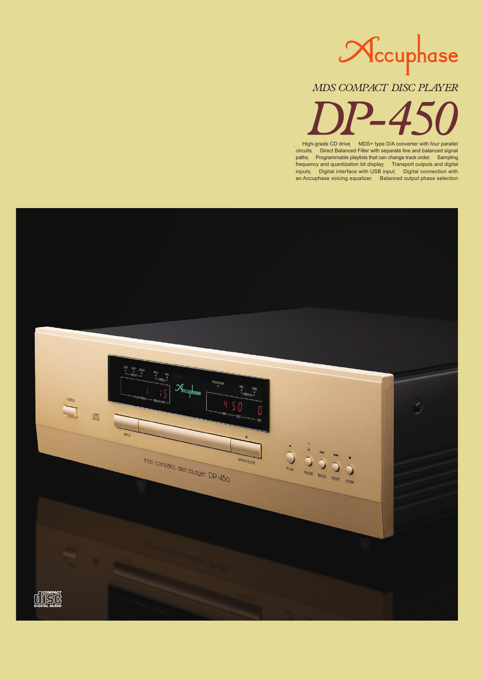

*MDS COMPACT DISC PLAYER*

High-grade CD drive MDS+ type D/A converter with four parallel<br>circuits Direct Balanced Filter with separate line and balanced signal Direct Balanced Filter with separate line and balanced signal paths Programmable playlists that can change track order Sampling frequency and quantization bit display Transport outputs and digital inputs Digital interface with USB input Digital connection with an Accuphase voicing equalizer Balanced output phase selection